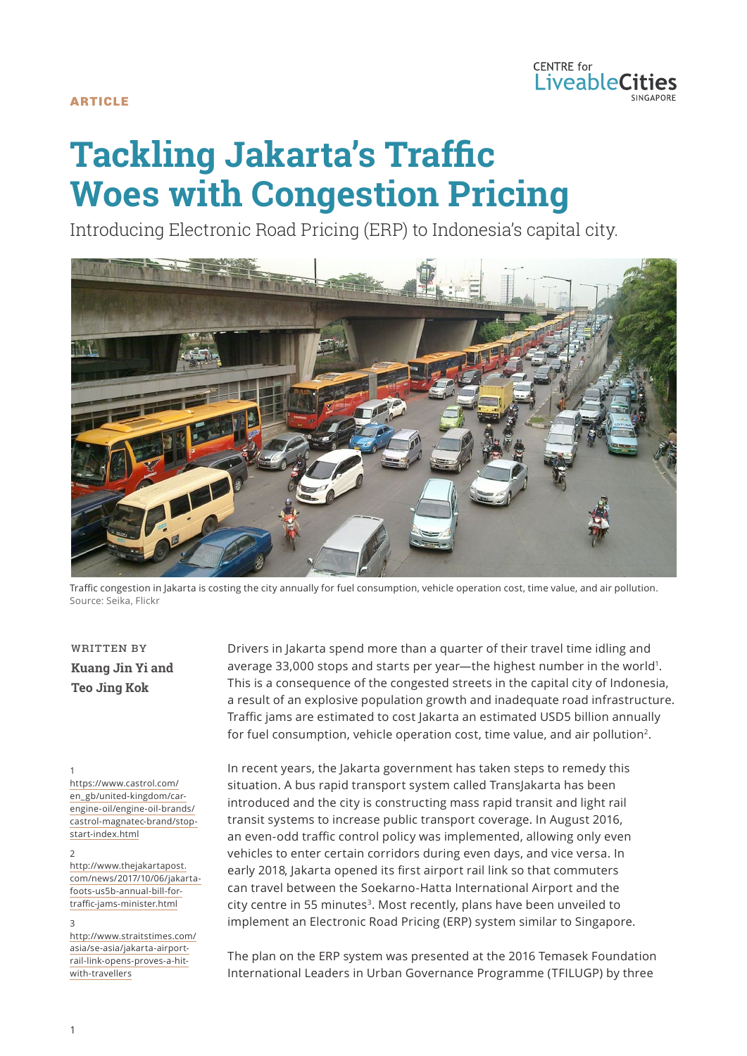

**ARTICLE** 

# **Tackling Jakarta's Traffic Woes with Congestion Pricing**

Introducing Electronic Road Pricing (ERP) to Indonesia's capital city.



Traffic congestion in Jakarta is costing the city annually for fuel consumption, vehicle operation cost, time value, and air pollution. Source: Seika, Flickr

WRITTEN BY **Kuang Jin Yi and Teo Jing Kok**

1

https://www.castrol.com/ en\_gb/united-kingdom/carengine-oil/engine-oil-brands/ castrol-magnatec-brand/stopstart-index.html

 $\overline{2}$ 

http://www.thejakartapost. com/news/2017/10/06/jakartafoots-us5b-annual-bill-fortraffic-jams-minister.html

#### 3

[http://www.straitstimes.com/](http://www.straitstimes.com/asia/se-asia/jakarta-airport-rail-link-opens-proves-a-hit-with-travellers) asia/se-asia/jakarta-airportrail-link-opens-proves-a-hitwith-travellers

Drivers in Jakarta spend more than a quarter of their travel time idling and average 33,000 stops and starts per year—the highest number in the world<sup>1</sup>. This is a consequence of the congested streets in the capital city of Indonesia, a result of an explosive population growth and inadequate road infrastructure. Traffic jams are estimated to cost Jakarta an estimated USD5 billion annually for fuel consumption, vehicle operation cost, time value, and air pollution<sup>2</sup>.

In recent years, the Jakarta government has taken steps to remedy this situation. A bus rapid transport system called TransJakarta has been introduced and the city is constructing mass rapid transit and light rail transit systems to increase public transport coverage. In August 2016, an even-odd traffic control policy was implemented, allowing only even vehicles to enter certain corridors during even days, and vice versa. In early 2018, Jakarta opened its first airport rail link so that commuters can travel between the Soekarno-Hatta International Airport and the city centre in 55 minutes<sup>3</sup>. Most recently, plans have been unveiled to implement an Electronic Road Pricing (ERP) system similar to Singapore.

The plan on the ERP system was presented at the 2016 Temasek Foundation International Leaders in Urban Governance Programme (TFILUGP) by three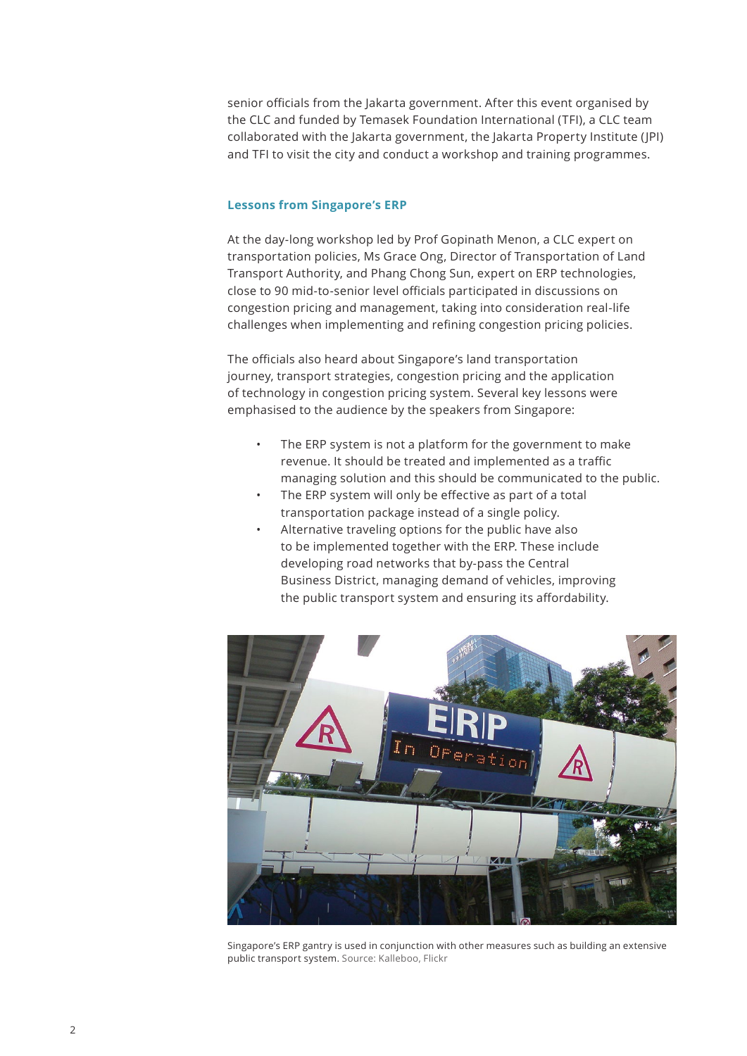senior officials from the Jakarta government. After this event organised by the CLC and funded by Temasek Foundation International (TFI), a CLC team collaborated with the Jakarta government, the Jakarta Property Institute (JPI) and TFI to visit the city and conduct a workshop and training programmes.

## **Lessons from Singapore's ERP**

At the day-long workshop led by Prof Gopinath Menon, a CLC expert on transportation policies, Ms Grace Ong, Director of Transportation of Land Transport Authority, and Phang Chong Sun, expert on ERP technologies, close to 90 mid-to-senior level officials participated in discussions on congestion pricing and management, taking into consideration real-life challenges when implementing and refining congestion pricing policies.

The officials also heard about Singapore's land transportation journey, transport strategies, congestion pricing and the application of technology in congestion pricing system. Several key lessons were emphasised to the audience by the speakers from Singapore:

- The ERP system is not a platform for the government to make revenue. It should be treated and implemented as a traffic managing solution and this should be communicated to the public.
- The ERP system will only be effective as part of a total transportation package instead of a single policy.
- Alternative traveling options for the public have also to be implemented together with the ERP. These include developing road networks that by-pass the Central Business District, managing demand of vehicles, improving the public transport system and ensuring its affordability.



Singapore's ERP gantry is used in conjunction with other measures such as building an extensive public transport system. Source: Kalleboo, Flickr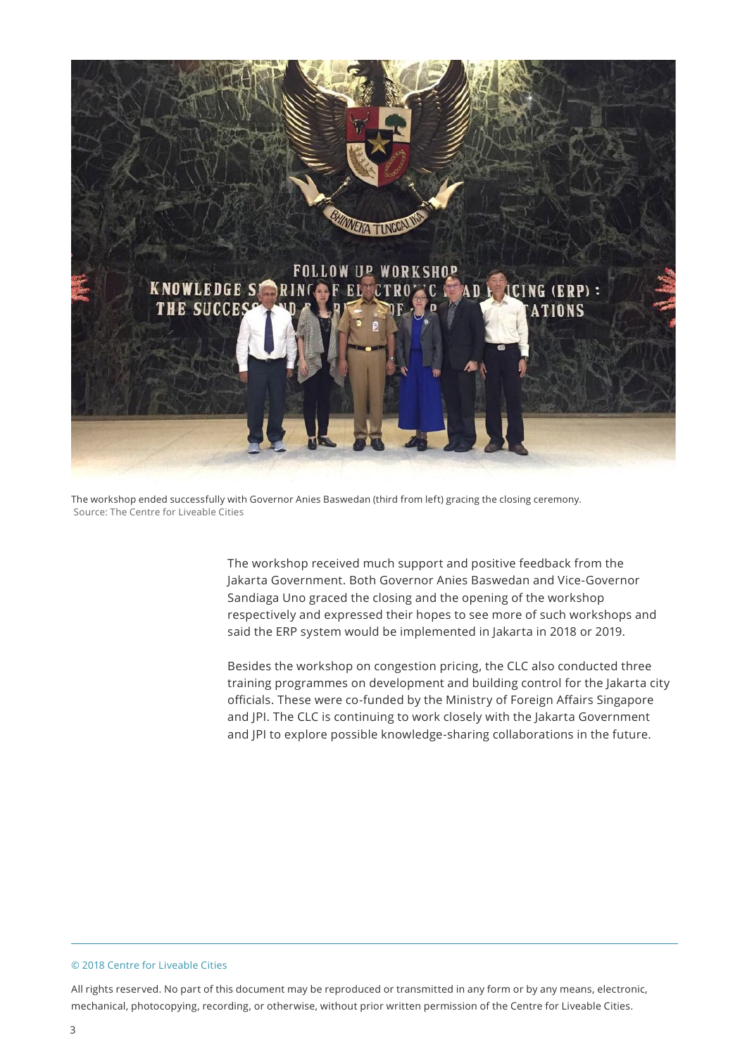

The workshop ended successfully with Governor Anies Baswedan (third from left) gracing the closing ceremony. Source: The Centre for Liveable Cities

The workshop received much support and positive feedback from the Jakarta Government. Both Governor Anies Baswedan and Vice-Governor Sandiaga Uno graced the closing and the opening of the workshop respectively and expressed their hopes to see more of such workshops and said the ERP system would be implemented in Jakarta in 2018 or 2019.

Besides the workshop on congestion pricing, the CLC also conducted three training programmes on development and building control for the Jakarta city officials. These were co-funded by the Ministry of Foreign Affairs Singapore and JPI. The CLC is continuing to work closely with the Jakarta Government and JPI to explore possible knowledge-sharing collaborations in the future.

### © 2018 Centre for Liveable Cities

All rights reserved. No part of this document may be reproduced or transmitted in any form or by any means, electronic, mechanical, photocopying, recording, or otherwise, without prior written permission of the Centre for Liveable Cities.